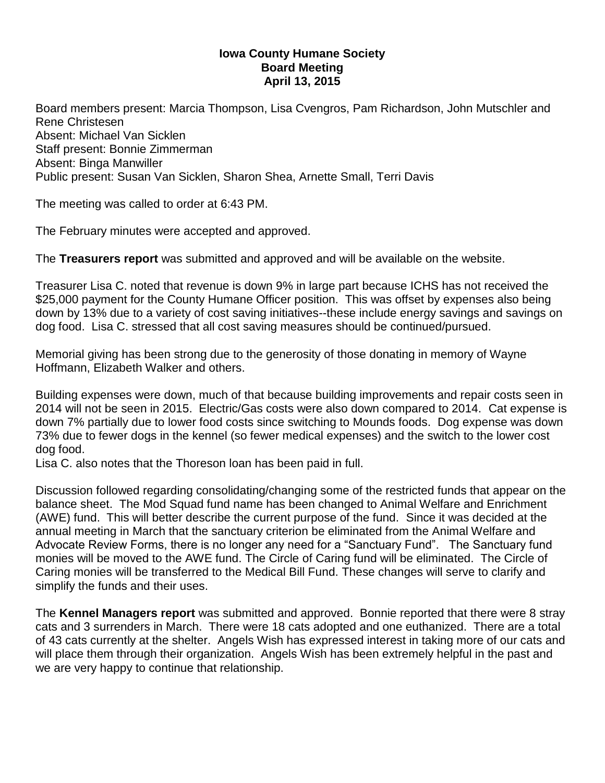## **Iowa County Humane Society Board Meeting April 13, 2015**

Board members present: Marcia Thompson, Lisa Cvengros, Pam Richardson, John Mutschler and Rene Christesen Absent: Michael Van Sicklen Staff present: Bonnie Zimmerman Absent: Binga Manwiller Public present: Susan Van Sicklen, Sharon Shea, Arnette Small, Terri Davis

The meeting was called to order at 6:43 PM.

The February minutes were accepted and approved.

The **Treasurers report** was submitted and approved and will be available on the website.

Treasurer Lisa C. noted that revenue is down 9% in large part because ICHS has not received the \$25,000 payment for the County Humane Officer position. This was offset by expenses also being down by 13% due to a variety of cost saving initiatives--these include energy savings and savings on dog food. Lisa C. stressed that all cost saving measures should be continued/pursued.

Memorial giving has been strong due to the generosity of those donating in memory of Wayne Hoffmann, Elizabeth Walker and others.

Building expenses were down, much of that because building improvements and repair costs seen in 2014 will not be seen in 2015. Electric/Gas costs were also down compared to 2014. Cat expense is down 7% partially due to lower food costs since switching to Mounds foods. Dog expense was down 73% due to fewer dogs in the kennel (so fewer medical expenses) and the switch to the lower cost dog food.

Lisa C. also notes that the Thoreson loan has been paid in full.

Discussion followed regarding consolidating/changing some of the restricted funds that appear on the balance sheet. The Mod Squad fund name has been changed to Animal Welfare and Enrichment (AWE) fund. This will better describe the current purpose of the fund. Since it was decided at the annual meeting in March that the sanctuary criterion be eliminated from the Animal Welfare and Advocate Review Forms, there is no longer any need for a "Sanctuary Fund". The Sanctuary fund monies will be moved to the AWE fund. The Circle of Caring fund will be eliminated. The Circle of Caring monies will be transferred to the Medical Bill Fund. These changes will serve to clarify and simplify the funds and their uses.

The **Kennel Managers report** was submitted and approved. Bonnie reported that there were 8 stray cats and 3 surrenders in March. There were 18 cats adopted and one euthanized. There are a total of 43 cats currently at the shelter. Angels Wish has expressed interest in taking more of our cats and will place them through their organization. Angels Wish has been extremely helpful in the past and we are very happy to continue that relationship.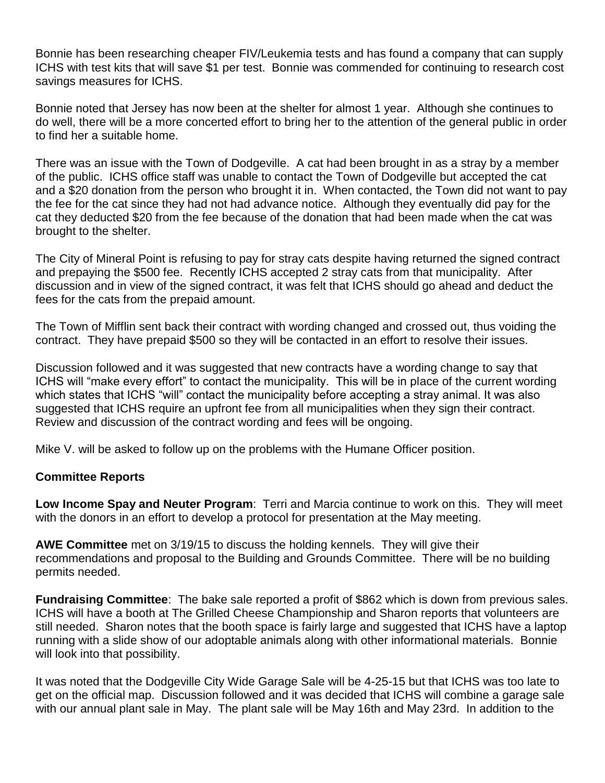Bonnie has been researching cheaper FIV/Leukemia tests and has found a company that can supply ICHS with test kits that will save \$1 per test. Bonnie was commended for continuing to research cost savings measures for ICHS.

Bonnie noted that Jersey has now been at the shelter for almost 1 year. Although she continues to do well, there will be a more concerted effort to bring her to the attention of the general public in order to find her a suitable home.

There was an issue with the Town of Dodgeville. A cat had been brought in as a stray by a member of the public. ICHS office staff was unable to contact the Town of Dodgeville but accepted the cat and a \$20 donation from the person who brought it in. When contacted, the Town did not want to pay the fee for the cat since they had not had advance notice. Although they eventually did pay for the cat they deducted \$20 from the fee because of the donation that had been made when the cat was brought to the shelter.

The City of Mineral Point is refusing to pay for stray cats despite having returned the signed contract and prepaying the \$500 fee. Recently ICHS accepted 2 stray cats from that municipality. After discussion and in view of the signed contract, it was felt that ICHS should go ahead and deduct the fees for the cats from the prepaid amount.

The Town of Mifflin sent back their contract with wording changed and crossed out, thus voiding the contract. They have prepaid \$500 so they will be contacted in an effort to resolve their issues.

Discussion followed and it was suggested that new contracts have a wording change to say that ICHS will "make every effort" to contact the municipality. This will be in place of the current wording which states that ICHS "will" contact the municipality before accepting a stray animal. It was also suggested that ICHS require an upfront fee from all municipalities when they sign their contract. Review and discussion of the contract wording and fees will be ongoing.

Mike V. will be asked to follow up on the problems with the Humane Officer position.

## **Committee Reports**

**Low Income Spay and Neuter Program**: Terri and Marcia continue to work on this. They will meet with the donors in an effort to develop a protocol for presentation at the May meeting.

**AWE Committee** met on 3/19/15 to discuss the holding kennels. They will give their recommendations and proposal to the Building and Grounds Committee. There will be no building permits needed.

**Fundraising Committee**: The bake sale reported a profit of \$862 which is down from previous sales. ICHS will have a booth at The Grilled Cheese Championship and Sharon reports that volunteers are still needed. Sharon notes that the booth space is fairly large and suggested that ICHS have a laptop running with a slide show of our adoptable animals along with other informational materials. Bonnie will look into that possibility.

It was noted that the Dodgeville City Wide Garage Sale will be 4-25-15 but that ICHS was too late to get on the official map. Discussion followed and it was decided that ICHS will combine a garage sale with our annual plant sale in May. The plant sale will be May 16th and May 23rd. In addition to the